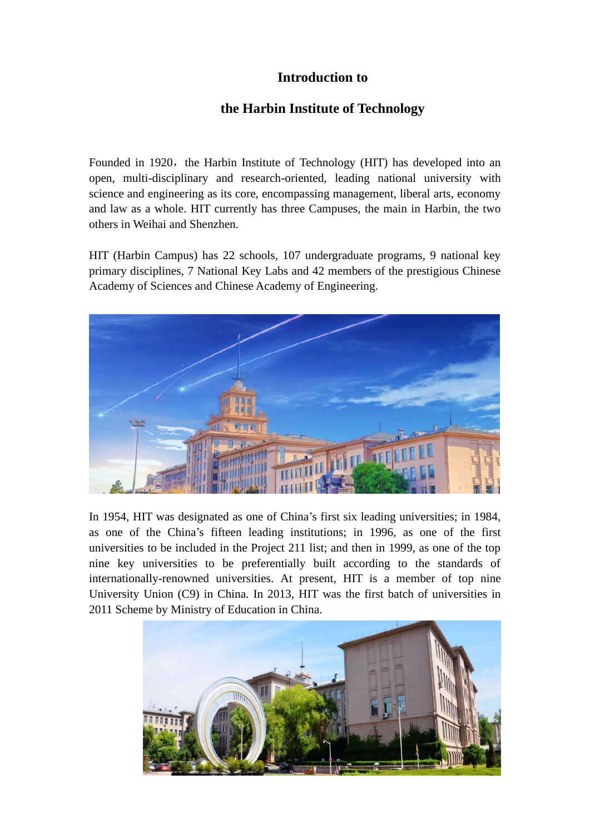## **Introduction to**

## **the Harbin Institute of Technology**

Founded in 1920, the Harbin Institute of Technology (HIT) has developed into an open, multi-disciplinary and research-oriented, leading national university with science and engineering as its core, encompassing management, liberal arts, economy and law as a whole. HIT currently has three Campuses, the main in Harbin, the two others in Weihai and Shenzhen.

HIT (Harbin Campus) has 22 schools, 107 undergraduate programs, 9 national key primary disciplines, 7 National Key Labs and 42 members of the prestigious Chinese Academy of Sciences and Chinese Academy of Engineering.



In 1954, HIT was designated as one of China's first six leading universities; in 1984, as one of the China's fifteen leading institutions; in 1996, as one of the first universities to be included in the Project 211 list; and then in 1999, as one of the top nine key universities to be preferentially built according to the standards of internationally-renowned universities. At present, HIT is a member of top nine University Union (C9) in China. In 2013, HIT was the first batch of universities in 2011 Scheme by Ministry of Education in China.